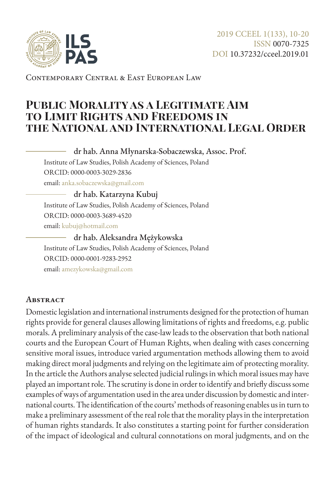

Contemporary Central & East European Law

# **Public Morality as a Legitimate Aim to Limit Rights and Freedoms in the National and International Legal Order**

dr hab. Anna Młynarska-Sobaczewska, Assoc. Prof.

Institute of Law Studies, Polish Academy of Sciences, Poland ORCID: 0000-0003-3029-2836

email: [anka.sobaczewska@gmail.com](mailto:anka.sobaczewska%40gmail.com?subject=)

#### dr hab. Katarzyna Kubuj

Institute of Law Studies, Polish Academy of Sciences, Poland ORCID: 0000-0003-3689-4520 email: [kubuj@hotmail.com](mailto:kubuj%40hotmail.com?subject=)

#### dr hab. Aleksandra Mężykowska

Institute of Law Studies, Polish Academy of Sciences, Poland ORCID: 0000-0001-9283-2952 email: [amezykowska@gmail.com](mailto:amezykowska%40gmail.com?subject=)

#### **Abstract**

Domestic legislation and international instruments designed for the protection of human rights provide for general clauses allowing limitations of rights and freedoms, e.g. public morals. A preliminary analysis of the case-law leads to the observation that both national courts and the European Court of Human Rights, when dealing with cases concerning sensitive moral issues, introduce varied argumentation methods allowing them to avoid making direct moral judgments and relying on the legitimate aim of protecting morality. In the article the Authors analyse selected judicial rulings in which moral issues may have played an important role. The scrutiny is done in order to identify and briefly discuss some examples of ways of argumentation used in the area under discussion by domestic and international courts. The identification of the courts' methods of reasoning enables us in turn to make a preliminary assessment of the real role that the morality plays in the interpretation of human rights standards. It also constitutes a starting point for further consideration of the impact of ideological and cultural connotations on moral judgments, and on the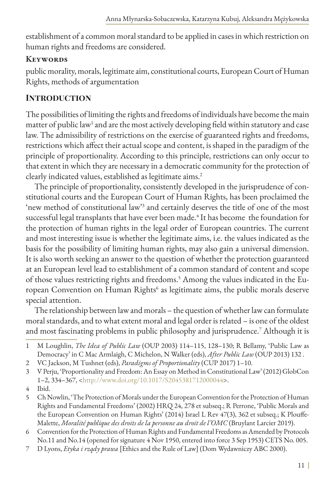establishment of a common moral standard to be applied in cases in which restriction on human rights and freedoms are considered.

### **Keywords**

public morality, morals, legitimate aim, constitutional courts, European Court of Human Rights, methods of argumentation

## **Introduction**

The possibilities of limiting the rights and freedoms of individuals have become the main matter of public law<sup>1</sup> and are the most actively developing field within statutory and case law. The admissibility of restrictions on the exercise of guaranteed rights and freedoms, restrictions which affect their actual scope and content, is shaped in the paradigm of the principle of proportionality. According to this principle, restrictions can only occur to that extent in which they are necessary in a democratic community for the protection of clearly indicated values, established as legitimate aims.<sup>2</sup>

The principle of proportionality, consistently developed in the jurisprudence of constitutional courts and the European Court of Human Rights, has been proclaimed the 'new method of constitutional law'3 and certainly deserves the title of one of the most successful legal transplants that have ever been made.<sup>4</sup> It has become the foundation for the protection of human rights in the legal order of European countries. The current and most interesting issue is whether the legitimate aims, i.e. the values indicated as the basis for the possibility of limiting human rights, may also gain a universal dimension. It is also worth seeking an answer to the question of whether the protection guaranteed at an European level lead to establishment of a common standard of content and scope of those values restricting rights and freedoms.5 Among the values indicated in the European Convention on Human Rights<sup>6</sup> as legitimate aims, the public morals deserve special attention.

The relationship between law and morals – the question of whether law can formulate moral standards, and to what extent moral and legal order is related – is one of the oldest and most fascinating problems in public philosophy and jurisprudence.7 Although it is

- 2 VC Jackson, M Tushnet (eds), *Paradigms of Proportionality* (CUP 2017) 1–10.
- 3 V Perju, 'Proportionality and Freedom: An Essay on Method in Constitutional Law' (2012) GlobCon 1–2, 334–367, <<http://www.doi.org/10.1017/S2045381712000044>>.
- 4 Ibid.
- 5 Ch Nowlin, 'The Protection of Morals under the European Convention for the Protection of Human Rights and Fundamental Freedoms' (2002) HRQ 24, 278 et subseq.; R Perrone, 'Public Morals and the European Convention on Human Rights' (2014) Israel L Rev 47(3), 362 et subseq.; K Plouffe-Malette, *Moralité publique des droits de la personne au droit de l'OMC* (Bruylant Larcier 2019).
- 6 Convention for the Protection of Human Rights and Fundamental Freedoms as Amended by Protocols No.11 and No.14 (opened for signature 4 Nov 1950, entered into force 3 Sep 1953) CETS No. 005.
- 7 D Lyons, *Etyka i rządy prawa* [Ethics and the Rule of Law] (Dom Wydawniczy ABC 2000).

<sup>1</sup> M Loughlin, *The Idea of Public Law* (OUP 2003) 114–115, 128–130; R Bellamy, 'Public Law as Democracy' in C Mac Armlaigh, C Michelon, N Walker (eds), *After Public Law* (OUP 2013) 132 .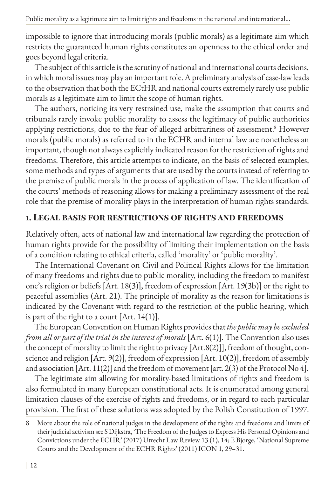impossible to ignore that introducing morals (public morals) as a legitimate aim which restricts the guaranteed human rights constitutes an openness to the ethical order and goes beyond legal criteria.

The subject of this article is the scrutiny of national and international courts decisions, in which moral issues may play an important role. A preliminary analysis of case-law leads to the observation that both the ECtHR and national courts extremely rarely use public morals as a legitimate aim to limit the scope of human rights.

The authors, noticing its very restrained use, make the assumption that courts and tribunals rarely invoke public morality to assess the legitimacy of public authorities applying restrictions, due to the fear of alleged arbitrariness of assessment.<sup>8</sup> However morals (public morals) as referred to in the ECHR and internal law are nonetheless an important, though not always explicitly indicated reason for the restriction of rights and freedoms. Therefore, this article attempts to indicate, on the basis of selected examples, some methods and types of arguments that are used by the courts instead of referring to the premise of public morals in the process of application of law. The identification of the courts' methods of reasoning allows for making a preliminary assessment of the real role that the premise of morality plays in the interpretation of human rights standards.

### **1. Legal basis for restrictions of rights and freedoms**

Relatively often, acts of national law and international law regarding the protection of human rights provide for the possibility of limiting their implementation on the basis of a condition relating to ethical criteria, called 'morality' or 'public morality'.

The International Covenant on Civil and Political Rights allows for the limitation of many freedoms and rights due to public morality, including the freedom to manifest one's religion or beliefs [Art. 18(3)], freedom of expression [Art. 19(3b)] or the right to peaceful assemblies (Art. 21). The principle of morality as the reason for limitations is indicated by the Covenant with regard to the restriction of the public hearing, which is part of the right to a court  $[Art. 14(1)].$ 

The European Convention on Human Rights provides that *the public may be excluded from all or part of the trial in the interest of morals* [Art. 6(1)]. The Convention also uses the concept of morality to limit the right to privacy [Art.8(2)]], freedom of thought, conscience and religion [Art. 9(2)], freedom of expression [Art. 10(2)], freedom of assembly and association [Art. 11(2)] and the freedom of movement [art. 2(3) of the Protocol No 4].

The legitimate aim allowing for morality-based limitations of rights and freedom is also formulated in many European constitutional acts. It is enumerated among general limitation clauses of the exercise of rights and freedoms, or in regard to each particular provision. The first of these solutions was adopted by the Polish Constitution of 1997.

<sup>8</sup> More about the role of national judges in the development of the rights and freedoms and limits of their judicial activism see S Dijkstra, 'The Freedom of the Judges to Express His Personal Opinions and Convictions under the ECHR' (2017) Utrecht Law Review 13 (1), 14; E Bjorge, 'National Supreme Courts and the Development of the ECHR Rights' (2011) ICON 1, 29–31.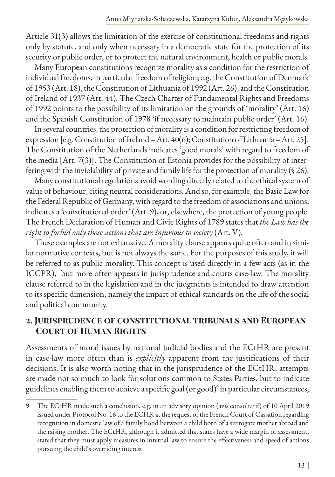Article 31(3) allows the limitation of the exercise of constitutional freedoms and rights only by statute, and only when necessary in a democratic state for the protection of its security or public order, or to protect the natural environment, health or public morals.

Many European constitutions recognize morality as a condition for the restriction of individual freedoms, in particular freedom of religion; e.g. the Constitution of Denmark of 1953 (Art. 18), the Constitution of Lithuania of 1992 (Art. 26), and the Constitution of Ireland of 1937 (Art. 44). The Czech Charter of Fundamental Rights and Freedoms of 1992 points to the possibility of its limitation on the grounds of 'morality' (Art. 16) and the Spanish Constitution of 1978 'if necessary to maintain public order' (Art. 16).

In several countries, the protection of morality is a condition for restricting freedom of expression [e.g. Constitution of Ireland – Art. 40(6); Constitution of Lithuania – Art. 25]. The Constitution of the Netherlands indicates 'good morals' with regard to freedom of the media [Art. 7(3)]. The Constitution of Estonia provides for the possibility of interfering with the inviolability of private and family life for the protection of morality (§ 26).

Many constitutional regulations avoid wording directly related to the ethical system of value of behaviour, citing neutral considerations. And so, for example, the Basic Law for the Federal Republic of Germany, with regard to the freedom of associations and unions, indicates a 'constitutional order' (Art. 9), or, elsewhere, the protection of young people. The French Declaration of Human and Civic Rights of 1789 states that *the Law has the right to forbid only those actions that are injurious to society* (Art. V).

These examples are not exhaustive. A morality clause appears quite often and in similar normative contexts, but is not always the same. For the purposes of this study, it will be referred to as public morality. This concept is used directly in a few acts (as in the ICCPR), but more often appears in jurisprudence and courts case-law. The morality clause referred to in the legislation and in the judgments is intended to draw attention to its specific dimension, namely the impact of ethical standards on the life of the social and political community.

#### **2. Jurisprudence of constitutional tribunals and European Court of Human Rights**

Assessments of moral issues by national judicial bodies and the ECtHR are present in case-law more often than is *explicitly* apparent from the justifications of their decisions. It is also worth noting that in the jurisprudence of the ECtHR, attempts are made not so much to look for solutions common to States Parties, but to indicate guidelines enabling them to achieve a specific goal (or good)<sup>9</sup> in particular circumstances,

<sup>9</sup> The ECtHR made such a conclusion, e.g. in an advisory opinion (avis consultatif) of 10 April 2019 issued under Protocol No. 16 to the ECHR at the request of the French Court of Cassation regarding recognition in domestic law of a family bond between a child born of a surrogate mother abroad and the raising mother. The ECtHR, although it admitted that states have a wide margin of assessment, stated that they must apply measures in internal law to ensure the effectiveness and speed of actions pursuing the child's overriding interest.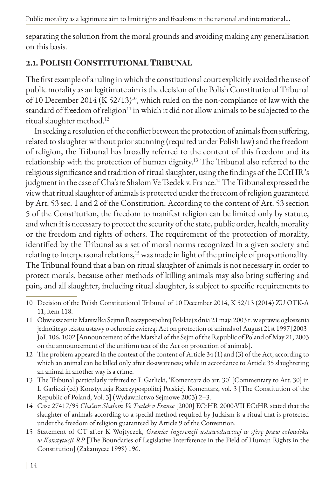separating the solution from the moral grounds and avoiding making any generalisation on this basis.

# **2.1. Polish Constitutional Tribunal**

The first example of a ruling in which the constitutional court explicitly avoided the use of public morality as an legitimate aim is the decision of the Polish Constitutional Tribunal of 10 December 2014 (K 52/13)<sup>10</sup>, which ruled on the non-compliance of law with the standard of freedom of religion<sup>11</sup> in which it did not allow animals to be subjected to the ritual slaughter method.12

In seeking a resolution of the conflict between the protection of animals from suffering, related to slaughter without prior stunning (required under Polish law) and the freedom of religion, the Tribunal has broadly referred to the content of this freedom and its relationship with the protection of human dignity.13 The Tribunal also referred to the religious significance and tradition of ritual slaughter, using the findings of the ECtHR's judgment in the case of Cha'are Shalom Ve Tsedek v. France.<sup>14</sup> The Tribunal expressed the view that ritual slaughter of animals is protected under the freedom of religion guaranteed by Art. 53 sec. 1 and 2 of the Constitution. According to the content of Art. 53 section 5 of the Constitution, the freedom to manifest religion can be limited only by statute, and when it is necessary to protect the security of the state, public order, health, morality or the freedom and rights of others. The requirement of the protection of morality, identified by the Tribunal as a set of moral norms recognized in a given society and relating to interpersonal relations,<sup>15</sup> was made in light of the principle of proportionality. The Tribunal found that a ban on ritual slaughter of animals is not necessary in order to protect morals, because other methods of killing animals may also bring suffering and pain, and all slaughter, including ritual slaughter, is subject to specific requirements to

- 10 Decision of the Polish Constitutional Tribunal of 10 December 2014, K 52/13 (2014) ZU OTK-A 11, item 118.
- 11 Obwieszczenie Marszałka Sejmu Rzeczypospolitej Polskiej z dnia 21 maja 2003 r. w sprawie ogłoszenia jednolitego tekstu ustawy o ochronie zwierząt Act on protection of animals of August 21st 1997 [2003] JoL 106, 1002 [Announcement of the Marshal of the Sejm of the Republic of Poland of May 21, 2003 on the announcement of the uniform text of the Act on protection of animals].
- 12 The problem appeared in the context of the content of Article 34 (1) and (3) of the Act, according to which an animal can be killed only after de-awareness; while in accordance to Article 35 slaughtering an animal in another way is a crime.
- 13 The Tribunal particularly referred to L Garlicki, 'Komentarz do art. 30' [Commentary to Art. 30] in L Garlicki (ed) Konstytucja Rzeczypospolitej Polskiej. Komentarz, vol. 3 [The Constitution of the Republic of Poland, Vol. 3] (Wydawnictwo Sejmowe 2003) 2–3.
- 14 Case 27417/95 *Cha'are Shalom Ve Tsedek v France* [2000] ECtHR 2000-VII ECtHR stated that the slaughter of animals according to a special method required by Judaism is a ritual that is protected under the freedom of religion guaranteed by Article 9 of the Convention.
- 15 Statement of CT after K Wojtyczek, *Granice ingerencji ustawodawczej w sferę praw człowieka w Konstytucji RP* [The Boundaries of Legislative Interference in the Field of Human Rights in the Constitution] (Zakamycze 1999) 196.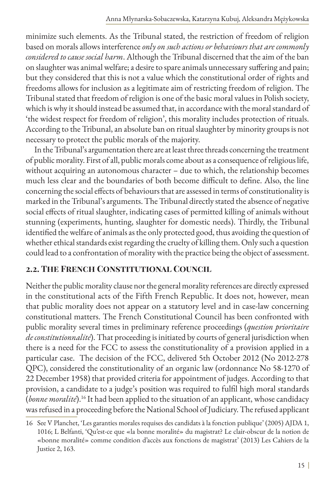minimize such elements. As the Tribunal stated, the restriction of freedom of religion based on morals allows interference *only on such actions or behaviours that are commonly considered to cause social harm*. Although the Tribunal discerned that the aim of the ban on slaughter was animal welfare; a desire to spare animals unnecessary suffering and pain; but they considered that this is not a value which the constitutional order of rights and freedoms allows for inclusion as a legitimate aim of restricting freedom of religion. The Tribunal stated that freedom of religion is one of the basic moral values in Polish society, which is why it should instead be assumed that, in accordance with the moral standard of 'the widest respect for freedom of religion', this morality includes protection of rituals. According to the Tribunal, an absolute ban on ritual slaughter by minority groups is not necessary to protect the public morals of the majority.

In the Tribunal's argumentation there are at least three threads concerning the treatment of public morality. First of all, public morals come about as a consequence of religious life, without acquiring an autonomous character – due to which, the relationship becomes much less clear and the boundaries of both become difficult to define. Also, the line concerning the social effects of behaviours that are assessed in terms of constitutionality is marked in the Tribunal's arguments. The Tribunal directly stated the absence of negative social effects of ritual slaughter, indicating cases of permitted killing of animals without stunning (experiments, hunting, slaughter for domestic needs). Thirdly, the Tribunal identified the welfare of animals as the only protected good, thus avoiding the question of whether ethical standards exist regarding the cruelty of killing them. Only such a question could lead to a confrontation of morality with the practice being the object of assessment.

## **2.2. The French Constitutional Council**

Neither the public morality clause nor the general morality references are directly expressed in the constitutional acts of the Fifth French Republic. It does not, however, mean that public morality does not appear on a statutory level and in case-law concerning constitutional matters. The French Constitutional Council has been confronted with public morality several times in preliminary reference proceedings (*question prioritaire de constitutionnalité*). That proceeding is initiated by courts of general jurisdiction when there is a need for the FCC to assess the constitutionality of a provision applied in a particular case. The decision of the FCC, delivered 5th October 2012 (No 2012-278 QPC), considered the constitutionality of an organic law (ordonnance No 58-1270 of 22 December 1958) that provided criteria for appointment of judges. According to that provision, a candidate to a judge's position was required to fulfil high moral standards (*bonne moralité*).<sup>16</sup> It had been applied to the situation of an applicant, whose candidacy was refused in a proceeding before the National School of Judiciary. The refused applicant

<sup>16</sup> See V Planchet, 'Les garanties morales requises des candidats à la fonction publique' (2005) AJDA 1, 1016; L Belfanti, 'Qu'est-ce que «la bonne moralité» du magistrat? Le clair-obscur de la notion de «bonne moralité» comme condition d'accès aux fonctions de magistrat' (2013) Les Cahiers de la Justice 2, 163.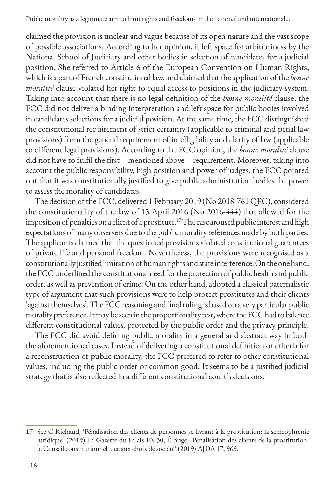Public morality as a legitimate aim to limit rights and freedoms in the national and international...

claimed the provision is unclear and vague because of its open nature and the vast scope of possible associations. According to her opinion, it left space for arbitrariness by the National School of Judiciary and other bodies in selection of candidates for a judicial position. She referred to Article 6 of the European Convention on Human Rights, which is a part of French constitutional law, and claimed that the application of the *bonne moralité* clause violated her right to equal access to positions in the judiciary system. Taking into account that there is no legal definition of the *bonne moralité* clause, the FCC did not deliver a binding interpretation and left space for public bodies involved in candidates selections for a judicial position. At the same time, the FCC distinguished the constitutional requirement of strict certainty (applicable to criminal and penal law provisions) from the general requirement of intelligibility and clarity of law (applicable to different legal provisions). According to the FCC opinion, the *bonne moralité* clause did not have to fulfil the first – mentioned above – requirement. Moreover, taking into account the public responsibility, high position and power of judges, the FCC pointed out that it was constitutionally justified to give public administration bodies the power to assess the morality of candidates.

The decision of the FCC, delivered 1 February 2019 (No 2018-761 QPC), considered the constitutionality of the law of 13 April 2016 (No 2016-444) that allowed for the imposition of penalties on a client of a prostitute.<sup>17</sup> The case aroused public interest and high expectations of many observers due to the public morality references made by both parties. The applicants claimed that the questioned provisions violated constitutional guarantees of private life and personal freedom. Nevertheless, the provisions were recognised as a constitutionally justified limitation of human rights and state interference. On the one hand, the FCC underlined the constitutional need for the protection of public health and public order, as well as prevention of crime. On the other hand, adopted a classical paternalistic type of argument that such provisions were to help protect prostitutes and their clients 'against themselves'. The FCC reasoning and final ruling is based on a very particular public morality preference. It may be seen in the proportionality test, where the FCC had to balance different constitutional values, protected by the public order and the privacy principle.

The FCC did avoid defining public morality in a general and abstract way in both the aforementioned cases. Instead of delivering a constitutional definition or criteria for a reconstruction of public morality, the FCC preferred to refer to other constitutional values, including the public order or common good. It seems to be a justified judicial strategy that is also reflected in a different constitutional court's decisions.

<sup>17</sup> See C Richaud, 'Pénalisation des clients de personnes se livrant à la prostitution: la schizophrénie juridique' (2019) La Gazette du Palais 10, 30; É Buge, 'Pénalisation des clients de la prostitution: le Conseil constitutionnel face aux choix de société' (2019) AJDA 17, 969.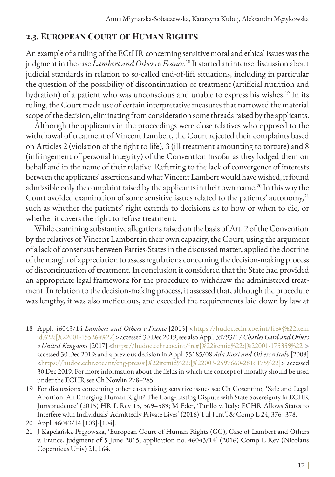### **2.3. European Court of Human Rights**

An example of a ruling of the ECtHR concerning sensitive moral and ethical issues was the judgment in the case *Lambert and Others v France*. 18 It started an intense discussion about judicial standards in relation to so-called end-of-life situations, including in particular the question of the possibility of discontinuation of treatment (artificial nutrition and hydration) of a patient who was unconscious and unable to express his wishes.<sup>19</sup> In its ruling, the Court made use of certain interpretative measures that narrowed the material scope of the decision, eliminating from consideration some threads raised by the applicants.

Although the applicants in the proceedings were close relatives who opposed to the withdrawal of treatment of Vincent Lambert, the Court rejected their complaints based on Articles 2 (violation of the right to life), 3 (ill-treatment amounting to torture) and 8 (infringement of personal integrity) of the Convention insofar as they lodged them on behalf and in the name of their relative. Referring to the lack of convergence of interests between the applicants' assertions and what Vincent Lambert would have wished, it found admissible only the complaint raised by the applicants in their own name.<sup>20</sup> In this way the Court avoided examination of some sensitive issues related to the patients' autonomy,<sup>21</sup> such as whether the patients' right extends to decisions as to how or when to die, or whether it covers the right to refuse treatment.

While examining substantive allegations raised on the basis of Art. 2 of the Convention by the relatives of Vincent Lambert in their own capacity, the Court, using the argument of a lack of consensus between Parties-States in the discussed matter, applied the doctrine of the margin of appreciation to assess regulations concerning the decision-making process of discontinuation of treatment. In conclusion it considered that the State had provided an appropriate legal framework for the procedure to withdraw the administered treatment. In relation to the decision-making process, it assessed that, although the procedure was lengthy, it was also meticulous, and exceeded the requirements laid down by law at

<sup>18</sup> Appl. 46043/14 *Lambert and Others v France* [2015] <[https://hudoc.echr.coe.int/fre#{%22item](https://hudoc.echr.coe.int/fre#{%22itemid%22:[%22001-155264%22]) [id%22:\[%22001-155264%22\]>](https://hudoc.echr.coe.int/fre#{%22itemid%22:[%22001-155264%22]) accessed 30 Dec 2019; see also Appl. 39793/17 *Charles Gard and Others v United Kingdom* [2017] <[https://hudoc.echr.coe.int/fre#{%22itemid%22:\[%22001-175359%22\]](https://hudoc.echr.coe.int/fre#{%22itemid%22:[%22001-175359%22])> accessed 30 Dec 2019; and a previous decision in Appl. 55185/08 *Ada Rossi and Others v Italy* [2008] <[https://hudoc.echr.coe.int/eng-press#{%22itemid%22:\[%22003-2597660-2816175%22\]](https://hudoc.echr.coe.int/eng-press#{%22itemid%22:[%22003-2597660-2816175%22])> accessed 30 Dec 2019. For more information about the fields in which the concept of morality should be used under the ECHR see Ch Nowlin 278–285.

<sup>19</sup> For discussions concerning other cases raising sensitive issues see Ch Cosentino, 'Safe and Legal Abortion: An Emerging Human Right? The Long-Lasting Dispute with State Sovereignty in ECHR Jurisprudence' (2015) HR L Rev 15, 569–589; M Eder, 'Parillo v. Italy: ECHR Allows States to Interfere with Individuals' Admittedly Private Lives' (2016) Tul J Int'l & Comp L 24, 376–378.

<sup>20</sup> Appl. 46043/14 [103]-[104].

<sup>21</sup> J Kapelańska-Pręgowska, 'European Court of Human Rights (GC), Case of Lambert and Others v. France, judgment of 5 June 2015, application no. 46043/14' (2016) Comp L Rev (Nicolaus Copernicus Univ) 21, 164.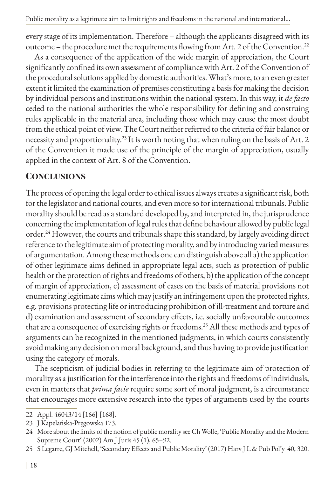every stage of its implementation. Therefore – although the applicants disagreed with its outcome – the procedure met the requirements flowing from Art. 2 of the Convention.<sup>22</sup>

As a consequence of the application of the wide margin of appreciation, the Court significantly confined its own assessment of compliance with Art. 2 of the Convention of the procedural solutions applied by domestic authorities. What's more, to an even greater extent it limited the examination of premises constituting a basis for making the decision by individual persons and institutions within the national system. In this way, it *de facto* ceded to the national authorities the whole responsibility for defining and construing rules applicable in the material area, including those which may cause the most doubt from the ethical point of view. The Court neither referred to the criteria of fair balance or necessity and proportionality.23 It is worth noting that when ruling on the basis of Art. 2 of the Convention it made use of the principle of the margin of appreciation, usually applied in the context of Art. 8 of the Convention.

# **Conclusions**

The process of opening the legal order to ethical issues always creates a significant risk, both for the legislator and national courts, and even more so for international tribunals. Public morality should be read as a standard developed by, and interpreted in, the jurisprudence concerning the implementation of legal rules that define behaviour allowed by public legal order.24 However, the courts and tribunals shape this standard, by largely avoiding direct reference to the legitimate aim of protecting morality, and by introducing varied measures of argumentation. Among these methods one can distinguish above all a) the application of other legitimate aims defined in appropriate legal acts, such as protection of public health or the protection of rights and freedoms of others, b) the application of the concept of margin of appreciation, c) assessment of cases on the basis of material provisions not enumerating legitimate aims which may justify an infringement upon the protected rights, e.g. provisions protecting life or introducing prohibition of ill-treatment and torture and d) examination and assessment of secondary effects, i.e. socially unfavourable outcomes that are a consequence of exercising rights or freedoms.<sup>25</sup> All these methods and types of arguments can be recognized in the mentioned judgments, in which courts consistently avoid making any decision on moral background, and thus having to provide justification using the category of morals.

The scepticism of judicial bodies in referring to the legitimate aim of protection of morality as a justification for the interference into the rights and freedoms of individuals, even in matters that *prima facie* require some sort of moral judgment, is a circumstance that encourages more extensive research into the types of arguments used by the courts

<sup>22</sup> Appl. 46043/14 [166]-[168].

<sup>23</sup> J Kapelańska-Pręgowska 173.

<sup>24</sup> More about the limits of the notion of public morality see Ch Wolfe, 'Public Morality and the Modern Supreme Court' (2002) Am J Juris 45 (1), 65–92.

<sup>25</sup> S Legarre, GJ Mitchell, 'Secondary Effects and Public Morality' (2017) Harv J L & Pub Pol'y 40, 320.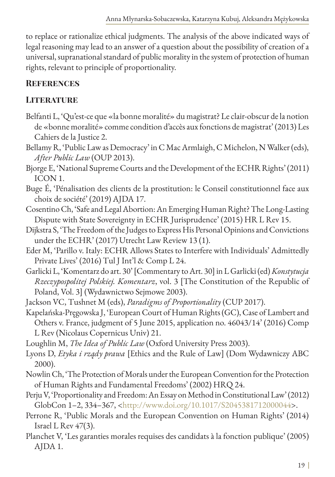to replace or rationalize ethical judgments. The analysis of the above indicated ways of legal reasoning may lead to an answer of a question about the possibility of creation of a universal, supranational standard of public morality in the system of protection of human rights, relevant to principle of proportionality.

# **References**

# **LITERATURE**

- Belfanti L, 'Qu'est-ce que «la bonne moralité» du magistrat? Le clair-obscur de la notion de «bonne moralité» comme condition d'accès aux fonctions de magistrat' (2013) Les Cahiers de la Justice 2.
- Bellamy R, 'Public Law as Democracy' in C Mac Armlaigh, C Michelon, N Walker (eds), *After Public Law* (OUP 2013).
- Bjorge E, 'National Supreme Courts and the Development of the ECHR Rights' (2011) ICON 1.
- Buge É, 'Pénalisation des clients de la prostitution: le Conseil constitutionnel face aux choix de société' (2019) AJDA 17.
- Cosentino Ch, 'Safe and Legal Abortion: An Emerging Human Right? The Long-Lasting Dispute with State Sovereignty in ECHR Jurisprudence' (2015) HR L Rev 15.
- Dijkstra S, 'The Freedom of the Judges to Express His Personal Opinions and Convictions under the ECHR' (2017) Utrecht Law Review 13 (1).
- Eder M, 'Parillo v. Italy: ECHR Allows States to Interfere with Individuals' Admittedly Private Lives' (2016) Tul J Int'l & Comp L 24.
- Garlicki L, 'Komentarz do art. 30' [Commentary to Art. 30] in L Garlicki (ed) *Konstytucja Rzeczypospolitej Polskiej. Komentarz*, vol. 3 [The Constitution of the Republic of Poland, Vol. 3] (Wydawnictwo Sejmowe 2003).
- Jackson VC, Tushnet M (eds), *Paradigms of Proportionality* (CUP 2017).
- Kapelańska-Pręgowska J, 'European Court of Human Rights (GC), Case of Lambert and Others v. France, judgment of 5 June 2015, application no. 46043/14' (2016) Comp L Rev (Nicolaus Copernicus Univ) 21.
- Loughlin M, *The Idea of Public Law* (Oxford University Press 2003).
- Lyons D, *Etyka i rządy prawa* [Ethics and the Rule of Law] (Dom Wydawniczy ABC 2000).
- Nowlin Ch, 'The Protection of Morals under the European Convention for the Protection of Human Rights and Fundamental Freedoms' (2002) HRQ 24.
- Perju V, 'Proportionality and Freedom: An Essay on Method in Constitutional Law' (2012) GlobCon 1–2, 334–367, [<http://www.doi.org/10.1017/S2045381712000044](http://www.doi.org/10.1017/S2045381712000044)>.
- Perrone R, 'Public Morals and the European Convention on Human Rights' (2014) Israel L Rev 47(3).
- Planchet V, 'Les garanties morales requises des candidats à la fonction publique' (2005) AJDA 1.